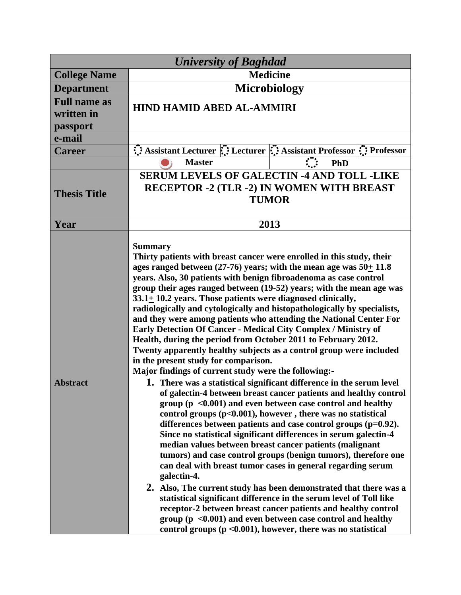| <b>University of Baghdad</b>                                  |                                                                                                                                                                                                                                                                                   |                                                                    |  |
|---------------------------------------------------------------|-----------------------------------------------------------------------------------------------------------------------------------------------------------------------------------------------------------------------------------------------------------------------------------|--------------------------------------------------------------------|--|
| <b>College Name</b>                                           | <b>Medicine</b>                                                                                                                                                                                                                                                                   |                                                                    |  |
| <b>Department</b>                                             | Microbiology                                                                                                                                                                                                                                                                      |                                                                    |  |
| <b>Full name as</b>                                           | <b>HIND HAMID ABED AL-AMMIRI</b>                                                                                                                                                                                                                                                  |                                                                    |  |
| written in                                                    |                                                                                                                                                                                                                                                                                   |                                                                    |  |
| passport                                                      |                                                                                                                                                                                                                                                                                   |                                                                    |  |
| e-mail                                                        |                                                                                                                                                                                                                                                                                   |                                                                    |  |
| <b>Career</b>                                                 | Assistant Lecturer : Lecturer : Assistant Professor : Professor                                                                                                                                                                                                                   |                                                                    |  |
|                                                               | <b>Master</b>                                                                                                                                                                                                                                                                     | PhD                                                                |  |
|                                                               | <b>SERUM LEVELS OF GALECTIN -4 AND TOLL -LIKE</b>                                                                                                                                                                                                                                 |                                                                    |  |
| <b>Thesis Title</b>                                           | <b>RECEPTOR -2 (TLR -2) IN WOMEN WITH BREAST</b>                                                                                                                                                                                                                                  |                                                                    |  |
|                                                               | <b>TUMOR</b>                                                                                                                                                                                                                                                                      |                                                                    |  |
|                                                               |                                                                                                                                                                                                                                                                                   |                                                                    |  |
| Year                                                          | 2013                                                                                                                                                                                                                                                                              |                                                                    |  |
|                                                               | <b>Summary</b><br>Thirty patients with breast cancer were enrolled in this study, their<br>ages ranged between (27-76) years; with the mean age was $50 \pm 11.8$                                                                                                                 |                                                                    |  |
|                                                               | years. Also, 30 patients with benign fibroadenoma as case control                                                                                                                                                                                                                 |                                                                    |  |
|                                                               | group their ages ranged between (19-52) years; with the mean age was                                                                                                                                                                                                              |                                                                    |  |
|                                                               | $33.1 \pm 10.2$ years. Those patients were diagnosed clinically,                                                                                                                                                                                                                  |                                                                    |  |
|                                                               | radiologically and cytologically and histopathologically by specialists,<br>and they were among patients who attending the National Center For<br>Early Detection Of Cancer - Medical City Complex / Ministry of<br>Health, during the period from October 2011 to February 2012. |                                                                    |  |
|                                                               |                                                                                                                                                                                                                                                                                   |                                                                    |  |
|                                                               |                                                                                                                                                                                                                                                                                   |                                                                    |  |
|                                                               | Twenty apparently healthy subjects as a control group were included                                                                                                                                                                                                               |                                                                    |  |
|                                                               | in the present study for comparison.<br>Major findings of current study were the following:-                                                                                                                                                                                      |                                                                    |  |
| <b>Abstract</b>                                               | 1. There was a statistical significant difference in the serum level                                                                                                                                                                                                              |                                                                    |  |
|                                                               | of galectin-4 between breast cancer patients and healthy control                                                                                                                                                                                                                  |                                                                    |  |
|                                                               | group ( $p \leq 0.001$ ) and even between case control and healthy                                                                                                                                                                                                                |                                                                    |  |
|                                                               | control groups $(p<0.001)$ , however, there was no statistical                                                                                                                                                                                                                    |                                                                    |  |
|                                                               | differences between patients and case control groups $(p=0.92)$ .<br>Since no statistical significant differences in serum galectin-4                                                                                                                                             |                                                                    |  |
|                                                               | median values between breast cancer patients (malignant                                                                                                                                                                                                                           |                                                                    |  |
|                                                               | tumors) and case control groups (benign tumors), therefore one                                                                                                                                                                                                                    |                                                                    |  |
|                                                               | can deal with breast tumor cases in general regarding serum                                                                                                                                                                                                                       |                                                                    |  |
|                                                               | galectin-4.                                                                                                                                                                                                                                                                       |                                                                    |  |
|                                                               | 2. Also, The current study has been demonstrated that there was a<br>statistical significant difference in the serum level of Toll like                                                                                                                                           |                                                                    |  |
| receptor-2 between breast cancer patients and healthy control |                                                                                                                                                                                                                                                                                   |                                                                    |  |
|                                                               |                                                                                                                                                                                                                                                                                   | group ( $p \le 0.001$ ) and even between case control and healthy  |  |
|                                                               |                                                                                                                                                                                                                                                                                   | control groups $(p \le 0.001)$ , however, there was no statistical |  |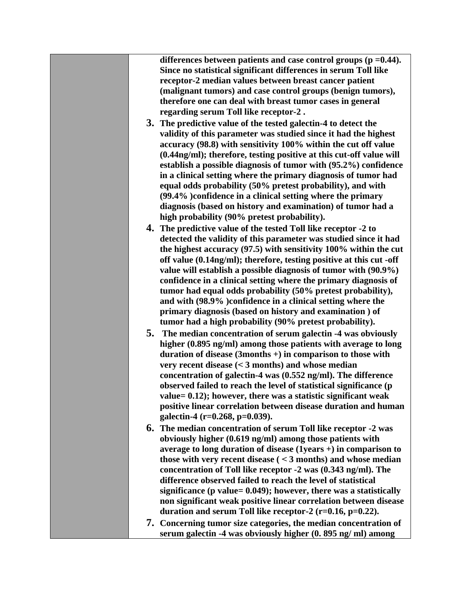**differences between patients and case control groups (p =0.44). Since no statistical significant differences in serum Toll like receptor-2 median values between breast cancer patient (malignant tumors) and case control groups (benign tumors), therefore one can deal with breast tumor cases in general regarding serum Toll like receptor-2 .**

- **3. The predictive value of the tested galectin-4 to detect the validity of this parameter was studied since it had the highest accuracy (98.8) with sensitivity 100% within the cut off value (0.44ng/ml); therefore, testing positive at this cut-off value will establish a possible diagnosis of tumor with (95.2%) confidence in a clinical setting where the primary diagnosis of tumor had equal odds probability (50% pretest probability), and with (99.4% )confidence in a clinical setting where the primary diagnosis (based on history and examination) of tumor had a high probability (90% pretest probability).**
- **4. The predictive value of the tested Toll like receptor -2 to detected the validity of this parameter was studied since it had the highest accuracy (97.5) with sensitivity 100% within the cut off value (0.14ng/ml); therefore, testing positive at this cut -off value will establish a possible diagnosis of tumor with (90.9%) confidence in a clinical setting where the primary diagnosis of tumor had equal odds probability (50% pretest probability), and with (98.9% )confidence in a clinical setting where the primary diagnosis (based on history and examination ) of tumor had a high probability (90% pretest probability).**
- **5. The median concentration of serum galectin -4 was obviously higher (0.895 ng/ml) among those patients with average to long duration of disease (3months +) in comparison to those with very recent disease (> 3 months) and whose median concentration of galectin-4 was (0.552 ng/ml). The difference observed failed to reach the level of statistical significance (p value= 0.12); however, there was a statistic significant weak positive linear correlation between disease duration and human galectin-4 (r=0.268, p=0.039).**
- **6. The median concentration of serum Toll like receptor -2 was obviously higher (0.619 ng/ml) among those patients with average to long duration of disease (1years +) in comparison to those with very recent disease ( > 3 months) and whose median concentration of Toll like receptor -2 was (0.343 ng/ml). The difference observed failed to reach the level of statistical significance (p value= 0.049); however, there was a statistically non significant weak positive linear correlation between disease duration and serum Toll like receptor-2 (r=0.16, p=0.22).**
- **7. Concerning tumor size categories, the median concentration of serum galectin -4 was obviously higher (0. 895 ng/ ml) among**